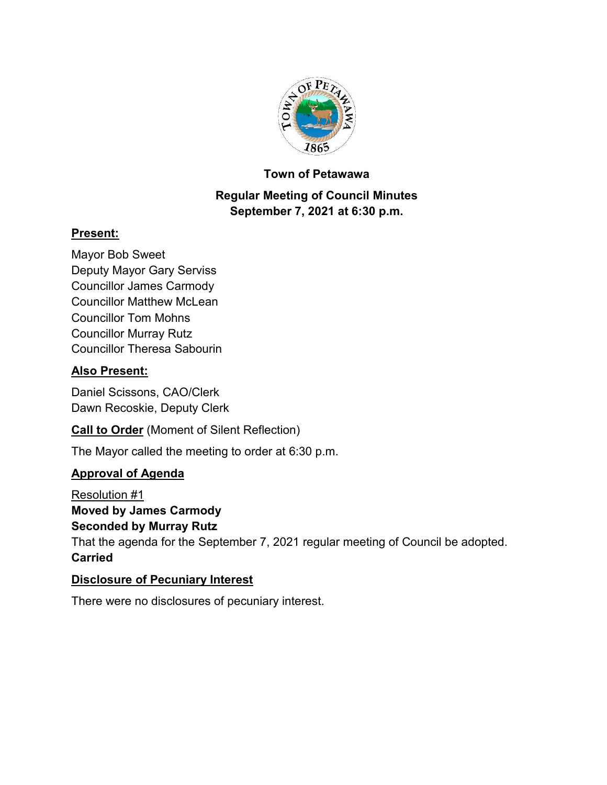

#### **Town of Petawawa**

# **Regular Meeting of Council Minutes September 7, 2021 at 6:30 p.m.**

## **Present:**

Mayor Bob Sweet Deputy Mayor Gary Serviss Councillor James Carmody Councillor Matthew McLean Councillor Tom Mohns Councillor Murray Rutz Councillor Theresa Sabourin

# **Also Present:**

Daniel Scissons, CAO/Clerk Dawn Recoskie, Deputy Clerk

**Call to Order** (Moment of Silent Reflection)

The Mayor called the meeting to order at 6:30 p.m.

### **Approval of Agenda**

Resolution #1 **Moved by James Carmody Seconded by Murray Rutz** That the agenda for the September 7, 2021 regular meeting of Council be adopted. **Carried**

### **Disclosure of Pecuniary Interest**

There were no disclosures of pecuniary interest.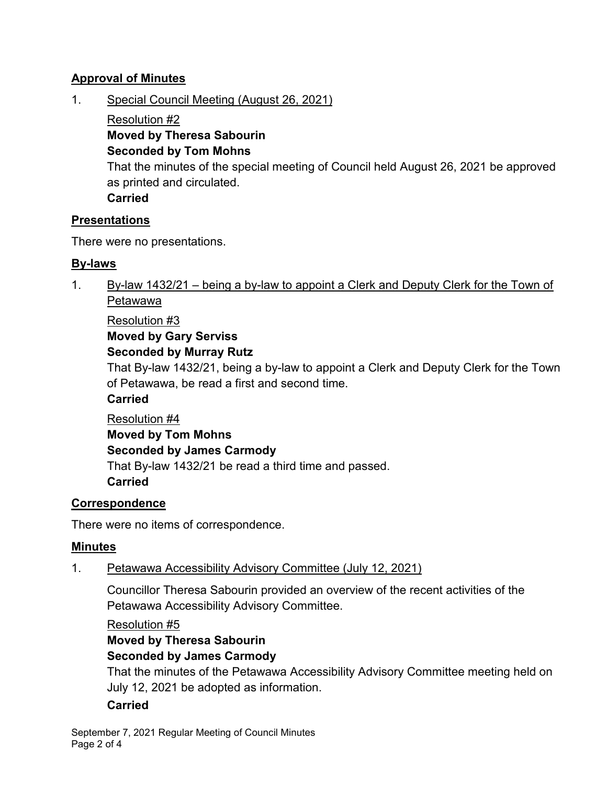## **Approval of Minutes**

1. Special Council Meeting (August 26, 2021)

Resolution #2

**Moved by Theresa Sabourin**

# **Seconded by Tom Mohns**

That the minutes of the special meeting of Council held August 26, 2021 be approved as printed and circulated.

**Carried**

## **Presentations**

There were no presentations.

# **By-laws**

1. By-law 1432/21 – being a by-law to appoint a Clerk and Deputy Clerk for the Town of Petawawa

Resolution #3

**Moved by Gary Serviss**

# **Seconded by Murray Rutz**

That By-law 1432/21, being a by-law to appoint a Clerk and Deputy Clerk for the Town of Petawawa, be read a first and second time.

## **Carried**

Resolution #4 **Moved by Tom Mohns Seconded by James Carmody** That By-law 1432/21 be read a third time and passed. **Carried**

# **Correspondence**

There were no items of correspondence.

# **Minutes**

1. Petawawa Accessibility Advisory Committee (July 12, 2021)

Councillor Theresa Sabourin provided an overview of the recent activities of the Petawawa Accessibility Advisory Committee.

Resolution #5

**Moved by Theresa Sabourin Seconded by James Carmody**

That the minutes of the Petawawa Accessibility Advisory Committee meeting held on July 12, 2021 be adopted as information.

# **Carried**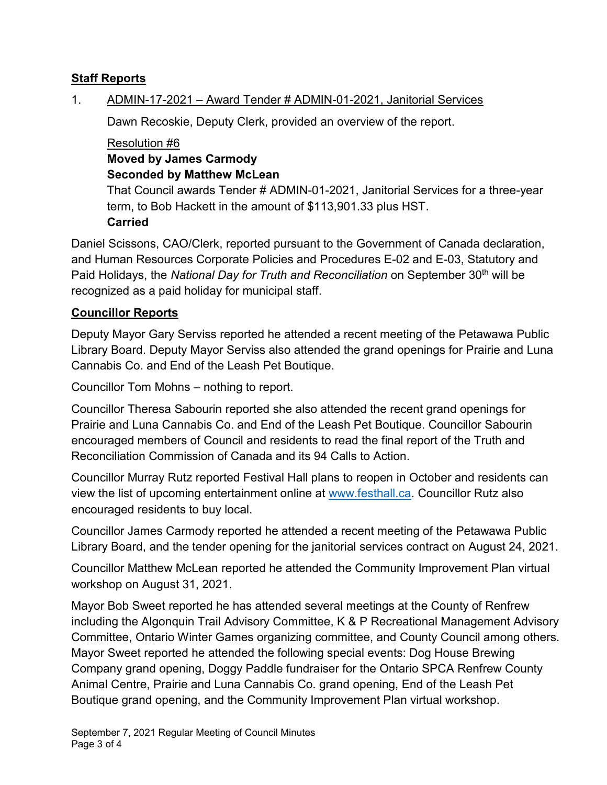## **Staff Reports**

### 1. ADMIN-17-2021 – Award Tender # ADMIN-01-2021, Janitorial Services

Dawn Recoskie, Deputy Clerk, provided an overview of the report.

Resolution #6 **Moved by James Carmody Seconded by Matthew McLean**

That Council awards Tender # ADMIN-01-2021, Janitorial Services for a three-year term, to Bob Hackett in the amount of \$113,901.33 plus HST. **Carried**

Daniel Scissons, CAO/Clerk, reported pursuant to the Government of Canada declaration, and Human Resources Corporate Policies and Procedures E-02 and E-03, Statutory and Paid Holidays, the *National Day for Truth and Reconciliation* on September 30th will be recognized as a paid holiday for municipal staff.

#### **Councillor Reports**

Deputy Mayor Gary Serviss reported he attended a recent meeting of the Petawawa Public Library Board. Deputy Mayor Serviss also attended the grand openings for Prairie and Luna Cannabis Co. and End of the Leash Pet Boutique.

Councillor Tom Mohns – nothing to report.

Councillor Theresa Sabourin reported she also attended the recent grand openings for Prairie and Luna Cannabis Co. and End of the Leash Pet Boutique. Councillor Sabourin encouraged members of Council and residents to read the final report of the Truth and Reconciliation Commission of Canada and its 94 Calls to Action.

Councillor Murray Rutz reported Festival Hall plans to reopen in October and residents can view the list of upcoming entertainment online at [www.festhall.ca.](http://www.festhall.ca/) Councillor Rutz also encouraged residents to buy local.

Councillor James Carmody reported he attended a recent meeting of the Petawawa Public Library Board, and the tender opening for the janitorial services contract on August 24, 2021.

Councillor Matthew McLean reported he attended the Community Improvement Plan virtual workshop on August 31, 2021.

Mayor Bob Sweet reported he has attended several meetings at the County of Renfrew including the Algonquin Trail Advisory Committee, K & P Recreational Management Advisory Committee, Ontario Winter Games organizing committee, and County Council among others. Mayor Sweet reported he attended the following special events: Dog House Brewing Company grand opening, Doggy Paddle fundraiser for the Ontario SPCA Renfrew County Animal Centre, Prairie and Luna Cannabis Co. grand opening, End of the Leash Pet Boutique grand opening, and the Community Improvement Plan virtual workshop.